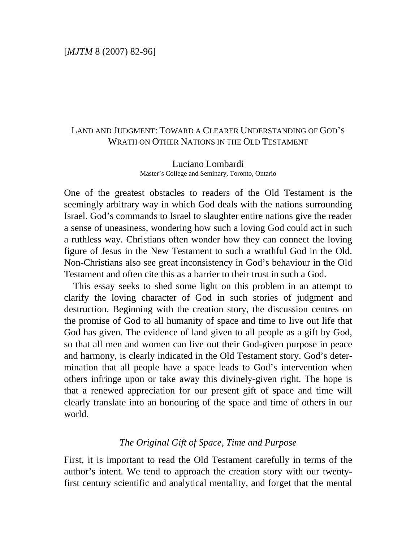# LAND AND JUDGMENT: TOWARD A CLEARER UNDERSTANDING OF GOD'S WRATH ON OTHER NATIONS IN THE OLD TESTAMENT

## Luciano Lombardi Master's College and Seminary, Toronto, Ontario

One of the greatest obstacles to readers of the Old Testament is the seemingly arbitrary way in which God deals with the nations surrounding Israel. God's commands to Israel to slaughter entire nations give the reader a sense of uneasiness, wondering how such a loving God could act in such a ruthless way. Christians often wonder how they can connect the loving figure of Jesus in the New Testament to such a wrathful God in the Old. Non-Christians also see great inconsistency in God's behaviour in the Old Testament and often cite this as a barrier to their trust in such a God.

 This essay seeks to shed some light on this problem in an attempt to clarify the loving character of God in such stories of judgment and destruction. Beginning with the creation story, the discussion centres on the promise of God to all humanity of space and time to live out life that God has given. The evidence of land given to all people as a gift by God, so that all men and women can live out their God-given purpose in peace and harmony, is clearly indicated in the Old Testament story. God's determination that all people have a space leads to God's intervention when others infringe upon or take away this divinely-given right. The hope is that a renewed appreciation for our present gift of space and time will clearly translate into an honouring of the space and time of others in our world.

## *The Original Gift of Space, Time and Purpose*

First, it is important to read the Old Testament carefully in terms of the author's intent. We tend to approach the creation story with our twentyfirst century scientific and analytical mentality, and forget that the mental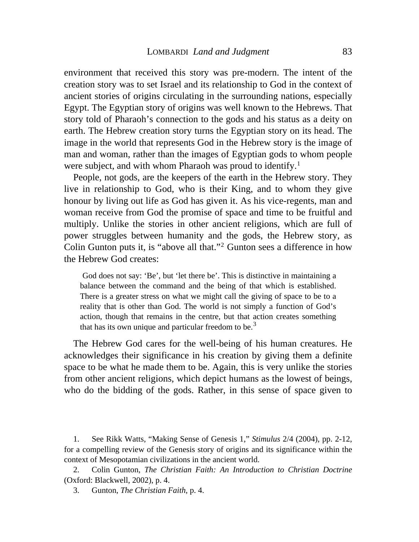environment that received this story was pre-modern. The intent of the creation story was to set Israel and its relationship to God in the context of ancient stories of origins circulating in the surrounding nations, especially Egypt. The Egyptian story of origins was well known to the Hebrews. That story told of Pharaoh's connection to the gods and his status as a deity on earth. The Hebrew creation story turns the Egyptian story on its head. The image in the world that represents God in the Hebrew story is the image of man and woman, rather than the images of Egyptian gods to whom people were subject, and with whom Pharaoh was proud to identify.<sup>[1](#page-1-0)</sup>

 People, not gods, are the keepers of the earth in the Hebrew story. They live in relationship to God, who is their King, and to whom they give honour by living out life as God has given it. As his vice-regents, man and woman receive from God the promise of space and time to be fruitful and multiply. Unlike the stories in other ancient religions, which are full of power struggles between humanity and the gods, the Hebrew story, as Colin Gunton puts it, is "above all that."[2](#page-1-1) Gunton sees a difference in how the Hebrew God creates:

 God does not say: 'Be', but 'let there be'. This is distinctive in maintaining a balance between the command and the being of that which is established. There is a greater stress on what we might call the giving of space to be to a reality that is other than God. The world is not simply a function of God's action, though that remains in the centre, but that action creates something that has its own unique and particular freedom to be.<sup>[3](#page-1-2)</sup>

 The Hebrew God cares for the well-being of his human creatures. He acknowledges their significance in his creation by giving them a definite space to be what he made them to be. Again, this is very unlike the stories from other ancient religions, which depict humans as the lowest of beings, who do the bidding of the gods. Rather, in this sense of space given to

<span id="page-1-0"></span> 1. See Rikk Watts, "Making Sense of Genesis 1," *Stimulus* 2/4 (2004), pp. 2-12, for a compelling review of the Genesis story of origins and its significance within the context of Mesopotamian civilizations in the ancient world.

<span id="page-1-2"></span><span id="page-1-1"></span> 2. Colin Gunton, *The Christian Faith: An Introduction to Christian Doctrine* (Oxford: Blackwell, 2002), p. 4.

3. Gunton, *The Christian Faith*, p. 4.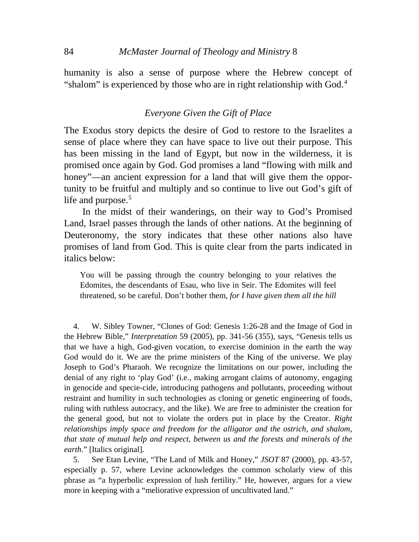humanity is also a sense of purpose where the Hebrew concept of "shalom" is experienced by those who are in right relationship with God.<sup>[4](#page-2-0)</sup>

## *Everyone Given the Gift of Place*

The Exodus story depicts the desire of God to restore to the Israelites a sense of place where they can have space to live out their purpose. This has been missing in the land of Egypt, but now in the wilderness, it is promised once again by God. God promises a land "flowing with milk and honey"—an ancient expression for a land that will give them the opportunity to be fruitful and multiply and so continue to live out God's gift of life and purpose.<sup>[5](#page-2-1)</sup>

 In the midst of their wanderings, on their way to God's Promised Land, Israel passes through the lands of other nations. At the beginning of Deuteronomy, the story indicates that these other nations also have promises of land from God. This is quite clear from the parts indicated in italics below:

You will be passing through the country belonging to your relatives the Edomites, the descendants of Esau, who live in Seir. The Edomites will feel threatened, so be careful. Don't bother them, *for I have given them all the hill* 

<span id="page-2-0"></span> 4. W. Sibley Towner, "Clones of God: Genesis 1:26-28 and the Image of God in the Hebrew Bible," *Interpretation* 59 (2005), pp. 341-56 (355), says, "Genesis tells us that we have a high, God-given vocation, to exercise dominion in the earth the way God would do it. We are the prime ministers of the King of the universe. We play Joseph to God's Pharaoh. We recognize the limitations on our power, including the denial of any right to 'play God' (i.e., making arrogant claims of autonomy, engaging in genocide and specie-cide, introducing pathogens and pollutants, proceeding without restraint and humility in such technologies as cloning or genetic engineering of foods, ruling with ruthless autocracy, and the like). We are free to administer the creation for the general good, but not to violate the orders put in place by the Creator. *Right relationships imply space and freedom for the alligator and the ostrich, and shalom, that state of mutual help and respect, between us and the forests and minerals of the earth*." [Italics original].

<span id="page-2-1"></span> 5. See Etan Levine, "The Land of Milk and Honey," *JSOT* 87 (2000), pp. 43-57, especially p. 57, where Levine acknowledges the common scholarly view of this phrase as "a hyperbolic expression of lush fertility." He, however, argues for a view more in keeping with a "meliorative expression of uncultivated land."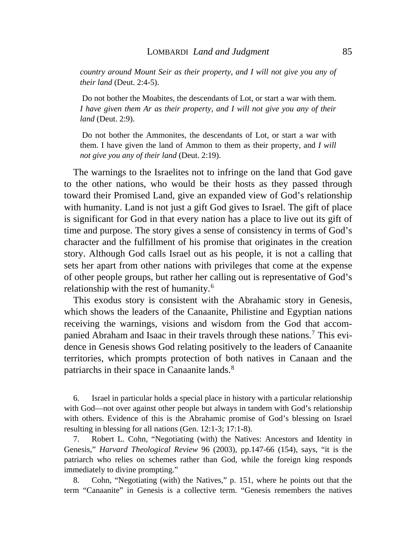*country around Mount Seir as their property, and I will not give you any of their land* (Deut. 2:4-5).

 Do not bother the Moabites, the descendants of Lot, or start a war with them. *I have given them Ar as their property, and I will not give you any of their land* (Deut. 2:9).

 Do not bother the Ammonites, the descendants of Lot, or start a war with them. I have given the land of Ammon to them as their property, and *I will not give you any of their land* (Deut. 2:19).

 The warnings to the Israelites not to infringe on the land that God gave to the other nations, who would be their hosts as they passed through toward their Promised Land, give an expanded view of God's relationship with humanity. Land is not just a gift God gives to Israel. The gift of place is significant for God in that every nation has a place to live out its gift of time and purpose. The story gives a sense of consistency in terms of God's character and the fulfillment of his promise that originates in the creation story. Although God calls Israel out as his people, it is not a calling that sets her apart from other nations with privileges that come at the expense of other people groups, but rather her calling out is representative of God's relationship with the rest of humanity.[6](#page-3-0)

 This exodus story is consistent with the Abrahamic story in Genesis, which shows the leaders of the Canaanite, Philistine and Egyptian nations receiving the warnings, visions and wisdom from the God that accompanied Abraham and Isaac in their travels through these nations.[7](#page-3-1) This evidence in Genesis shows God relating positively to the leaders of Canaanite territories, which prompts protection of both natives in Canaan and the patriarchs in their space in Canaanite lands.<sup>[8](#page-3-2)</sup>

<span id="page-3-0"></span> 6. Israel in particular holds a special place in history with a particular relationship with God—not over against other people but always in tandem with God's relationship with others. Evidence of this is the Abrahamic promise of God's blessing on Israel resulting in blessing for all nations (Gen. 12:1-3; 17:1-8).

<span id="page-3-1"></span> 7. Robert L. Cohn, "Negotiating (with) the Natives: Ancestors and Identity in Genesis," *Harvard Theological Review* 96 (2003), pp.147-66 (154), says, "it is the patriarch who relies on schemes rather than God, while the foreign king responds immediately to divine prompting."

<span id="page-3-2"></span> 8. Cohn, "Negotiating (with) the Natives," p. 151, where he points out that the term "Canaanite" in Genesis is a collective term. "Genesis remembers the natives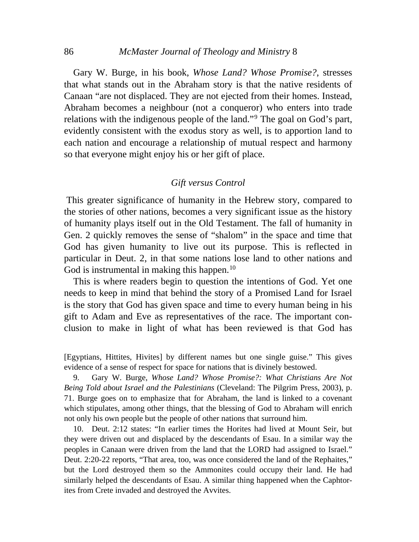### 86 *McMaster Journal of Theology and Ministry* 8

 Gary W. Burge, in his book, *Whose Land? Whose Promise?*, stresses that what stands out in the Abraham story is that the native residents of Canaan "are not displaced. They are not ejected from their homes. Instead, Abraham becomes a neighbour (not a conqueror) who enters into trade relations with the indigenous people of the land."<sup>[9](#page-4-0)</sup> The goal on God's part, evidently consistent with the exodus story as well, is to apportion land to each nation and encourage a relationship of mutual respect and harmony so that everyone might enjoy his or her gift of place.

## *Gift versus Control*

 This greater significance of humanity in the Hebrew story, compared to the stories of other nations, becomes a very significant issue as the history of humanity plays itself out in the Old Testament. The fall of humanity in Gen. 2 quickly removes the sense of "shalom" in the space and time that God has given humanity to live out its purpose. This is reflected in particular in Deut. 2, in that some nations lose land to other nations and God is instrumental in making this happen.<sup>[10](#page-4-1)</sup>

 This is where readers begin to question the intentions of God. Yet one needs to keep in mind that behind the story of a Promised Land for Israel is the story that God has given space and time to every human being in his gift to Adam and Eve as representatives of the race. The important conclusion to make in light of what has been reviewed is that God has

[Egyptians, Hittites, Hivites] by different names but one single guise." This gives evidence of a sense of respect for space for nations that is divinely bestowed.

<span id="page-4-0"></span> 9. Gary W. Burge, *Whose Land? Whose Promise?: What Christians Are Not Being Told about Israel and the Palestinians* (Cleveland: The Pilgrim Press, 2003), p. 71. Burge goes on to emphasize that for Abraham, the land is linked to a covenant which stipulates, among other things, that the blessing of God to Abraham will enrich not only his own people but the people of other nations that surround him.

<span id="page-4-1"></span> 10. Deut. 2:12 states: "In earlier times the Horites had lived at Mount Seir, but they were driven out and displaced by the descendants of Esau. In a similar way the peoples in Canaan were driven from the land that the LORD had assigned to Israel." Deut. 2:20-22 reports, "That area, too, was once considered the land of the Rephaites," but the Lord destroyed them so the Ammonites could occupy their land. He had similarly helped the descendants of Esau. A similar thing happened when the Caphtorites from Crete invaded and destroyed the Avvites.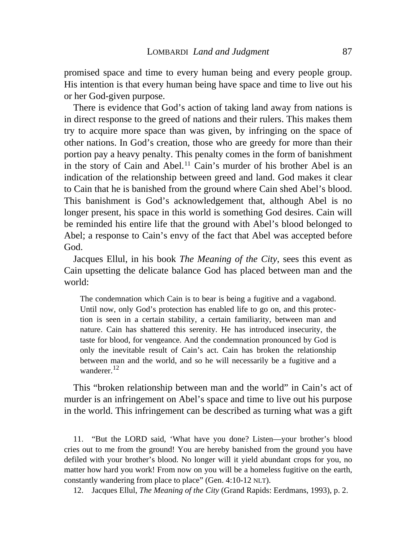promised space and time to every human being and every people group. His intention is that every human being have space and time to live out his or her God-given purpose.

 There is evidence that God's action of taking land away from nations is in direct response to the greed of nations and their rulers. This makes them try to acquire more space than was given, by infringing on the space of other nations. In God's creation, those who are greedy for more than their portion pay a heavy penalty. This penalty comes in the form of banishment in the story of Cain and Abel.<sup>[11](#page-5-0)</sup> Cain's murder of his brother Abel is an indication of the relationship between greed and land. God makes it clear to Cain that he is banished from the ground where Cain shed Abel's blood. This banishment is God's acknowledgement that, although Abel is no longer present, his space in this world is something God desires. Cain will be reminded his entire life that the ground with Abel's blood belonged to Abel; a response to Cain's envy of the fact that Abel was accepted before God.

 Jacques Ellul, in his book *The Meaning of the City*, sees this event as Cain upsetting the delicate balance God has placed between man and the world:

The condemnation which Cain is to bear is being a fugitive and a vagabond. Until now, only God's protection has enabled life to go on, and this protection is seen in a certain stability, a certain familiarity, between man and nature. Cain has shattered this serenity. He has introduced insecurity, the taste for blood, for vengeance. And the condemnation pronounced by God is only the inevitable result of Cain's act. Cain has broken the relationship between man and the world, and so he will necessarily be a fugitive and a wanderer.[12](#page-5-1)

 This "broken relationship between man and the world" in Cain's act of murder is an infringement on Abel's space and time to live out his purpose in the world. This infringement can be described as turning what was a gift

<span id="page-5-0"></span> 11. "But the LORD said, 'What have you done? Listen—your brother's blood cries out to me from the ground! You are hereby banished from the ground you have defiled with your brother's blood. No longer will it yield abundant crops for you, no matter how hard you work! From now on you will be a homeless fugitive on the earth, constantly wandering from place to place" (Gen. 4:10-12 NLT).

<span id="page-5-1"></span>12. Jacques Ellul, *The Meaning of the City* (Grand Rapids: Eerdmans, 1993), p. 2.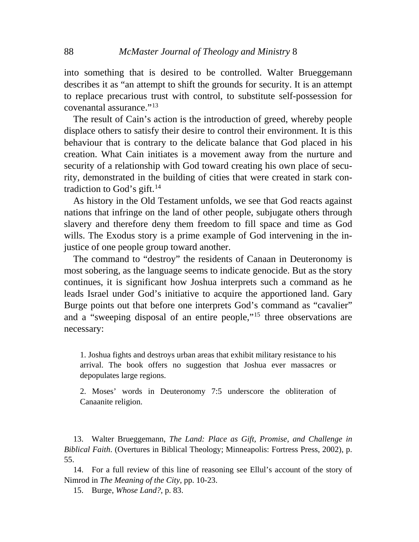into something that is desired to be controlled. Walter Brueggemann describes it as "an attempt to shift the grounds for security. It is an attempt to replace precarious trust with control, to substitute self-possession for covenantal assurance."[13](#page-6-0)

 The result of Cain's action is the introduction of greed, whereby people displace others to satisfy their desire to control their environment. It is this behaviour that is contrary to the delicate balance that God placed in his creation. What Cain initiates is a movement away from the nurture and security of a relationship with God toward creating his own place of security, demonstrated in the building of cities that were created in stark con-tradiction to God's gift.<sup>[14](#page-6-1)</sup>

 As history in the Old Testament unfolds, we see that God reacts against nations that infringe on the land of other people, subjugate others through slavery and therefore deny them freedom to fill space and time as God wills. The Exodus story is a prime example of God intervening in the injustice of one people group toward another.

 The command to "destroy" the residents of Canaan in Deuteronomy is most sobering, as the language seems to indicate genocide. But as the story continues, it is significant how Joshua interprets such a command as he leads Israel under God's initiative to acquire the apportioned land. Gary Burge points out that before one interprets God's command as "cavalier" and a "sweeping disposal of an entire people,"[15](#page-6-2) three observations are necessary:

1. Joshua fights and destroys urban areas that exhibit military resistance to his arrival. The book offers no suggestion that Joshua ever massacres or depopulates large regions.

2. Moses' words in Deuteronomy 7:5 underscore the obliteration of Canaanite religion.

<span id="page-6-0"></span> 13. Walter Brueggemann, *The Land: Place as Gift, Promise, and Challenge in Biblical Faith*. (Overtures in Biblical Theology; Minneapolis: Fortress Press, 2002), p. 55.

<span id="page-6-2"></span><span id="page-6-1"></span> 14. For a full review of this line of reasoning see Ellul's account of the story of Nimrod in *The Meaning of the City*, pp. 10-23.

15. Burge, *Whose Land?*, p. 83.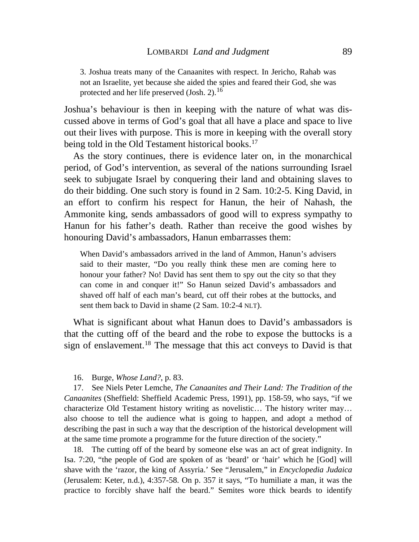3. Joshua treats many of the Canaanites with respect. In Jericho, Rahab was not an Israelite, yet because she aided the spies and feared their God, she was protected and her life preserved (Josh. 2).<sup>[16](#page-7-0)</sup>

Joshua's behaviour is then in keeping with the nature of what was discussed above in terms of God's goal that all have a place and space to live out their lives with purpose. This is more in keeping with the overall story being told in the Old Testament historical books.<sup>[17](#page-7-1)</sup>

 As the story continues, there is evidence later on, in the monarchical period, of God's intervention, as several of the nations surrounding Israel seek to subjugate Israel by conquering their land and obtaining slaves to do their bidding. One such story is found in 2 Sam. 10:2-5. King David, in an effort to confirm his respect for Hanun, the heir of Nahash, the Ammonite king, sends ambassadors of good will to express sympathy to Hanun for his father's death. Rather than receive the good wishes by honouring David's ambassadors, Hanun embarrasses them:

When David's ambassadors arrived in the land of Ammon, Hanun's advisers said to their master, "Do you really think these men are coming here to honour your father? No! David has sent them to spy out the city so that they can come in and conquer it!" So Hanun seized David's ambassadors and shaved off half of each man's beard, cut off their robes at the buttocks, and sent them back to David in shame (2 Sam. 10:2-4 NLT).

 What is significant about what Hanun does to David's ambassadors is that the cutting off of the beard and the robe to expose the buttocks is a sign of enslavement.<sup>[18](#page-7-2)</sup> The message that this act conveys to David is that

#### 16. Burge, *Whose Land?*, p. 83.

<span id="page-7-1"></span><span id="page-7-0"></span> 17. See Niels Peter Lemche, *The Canaanites and Their Land: The Tradition of the Canaanites* (Sheffield: Sheffield Academic Press, 1991), pp. 158-59, who says, "if we characterize Old Testament history writing as novelistic… The history writer may… also choose to tell the audience what is going to happen, and adopt a method of describing the past in such a way that the description of the historical development will at the same time promote a programme for the future direction of the society."

<span id="page-7-2"></span> 18. The cutting off of the beard by someone else was an act of great indignity. In Isa. 7:20, "the people of God are spoken of as 'beard' or 'hair' which he [God] will shave with the 'razor, the king of Assyria.' See "Jerusalem," in *Encyclopedia Judaica* (Jerusalem: Keter, n.d.), 4:357-58. On p. 357 it says, "To humiliate a man, it was the practice to forcibly shave half the beard." Semites wore thick beards to identify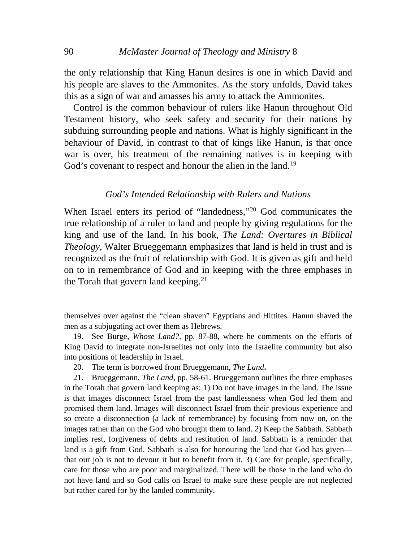the only relationship that King Hanun desires is one in which David and his people are slaves to the Ammonites. As the story unfolds, David takes this as a sign of war and amasses his army to attack the Ammonites.

 Control is the common behaviour of rulers like Hanun throughout Old Testament history, who seek safety and security for their nations by subduing surrounding people and nations. What is highly significant in the behaviour of David, in contrast to that of kings like Hanun, is that once war is over, his treatment of the remaining natives is in keeping with God's covenant to respect and honour the alien in the land.<sup>[19](#page-8-0)</sup>

## *God's Intended Relationship with Rulers and Nations*

When Israel enters its period of "landedness,["20](#page-8-1) God communicates the true relationship of a ruler to land and people by giving regulations for the king and use of the land. In his book, *The Land: Overtures in Biblical Theology*, Walter Brueggemann emphasizes that land is held in trust and is recognized as the fruit of relationship with God. It is given as gift and held on to in remembrance of God and in keeping with the three emphases in the Torah that govern land keeping.<sup>[21](#page-8-2)</sup>

themselves over against the "clean shaven" Egyptians and Hittites. Hanun shaved the men as a subjugating act over them as Hebrews.

<span id="page-8-0"></span> 19. See Burge, *Whose Land?*, pp. 87-88, where he comments on the efforts of King David to integrate non-Israelites not only into the Israelite community but also into positions of leadership in Israel.

20. The term is borrowed from Brueggemann, *The Land***.**

<span id="page-8-2"></span><span id="page-8-1"></span> 21. Brueggemann, *The Land*, pp. 58-61. Brueggemann outlines the three emphases in the Torah that govern land keeping as: 1) Do not have images in the land. The issue is that images disconnect Israel from the past landlessness when God led them and promised them land. Images will disconnect Israel from their previous experience and so create a disconnection (a lack of remembrance) by focusing from now on, on the images rather than on the God who brought them to land. 2) Keep the Sabbath. Sabbath implies rest, forgiveness of debts and restitution of land. Sabbath is a reminder that land is a gift from God. Sabbath is also for honouring the land that God has given that our job is not to devour it but to benefit from it. 3) Care for people, specifically, care for those who are poor and marginalized. There will be those in the land who do not have land and so God calls on Israel to make sure these people are not neglected but rather cared for by the landed community.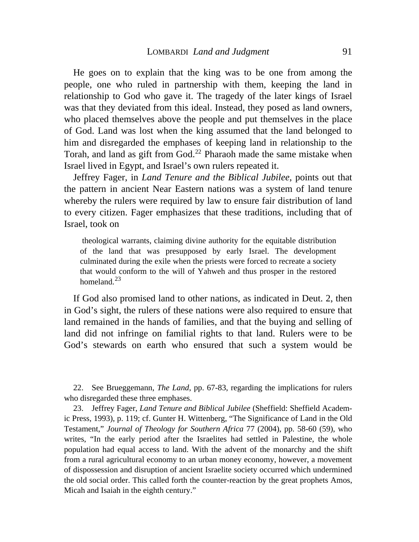He goes on to explain that the king was to be one from among the people, one who ruled in partnership with them, keeping the land in relationship to God who gave it. The tragedy of the later kings of Israel was that they deviated from this ideal. Instead, they posed as land owners, who placed themselves above the people and put themselves in the place of God. Land was lost when the king assumed that the land belonged to him and disregarded the emphases of keeping land in relationship to the Torah, and land as gift from God.<sup>[22](#page-9-0)</sup> Pharaoh made the same mistake when Israel lived in Egypt, and Israel's own rulers repeated it.

 Jeffrey Fager, in *Land Tenure and the Biblical Jubilee*, points out that the pattern in ancient Near Eastern nations was a system of land tenure whereby the rulers were required by law to ensure fair distribution of land to every citizen. Fager emphasizes that these traditions, including that of Israel, took on

 theological warrants, claiming divine authority for the equitable distribution of the land that was presupposed by early Israel. The development culminated during the exile when the priests were forced to recreate a society that would conform to the will of Yahweh and thus prosper in the restored homeland. $^{23}$  $^{23}$  $^{23}$ 

 If God also promised land to other nations, as indicated in Deut. 2, then in God's sight, the rulers of these nations were also required to ensure that land remained in the hands of families, and that the buying and selling of land did not infringe on familial rights to that land. Rulers were to be God's stewards on earth who ensured that such a system would be

<span id="page-9-0"></span> 22. See Brueggemann, *The Land*, pp. 67-83, regarding the implications for rulers who disregarded these three emphases.

<span id="page-9-1"></span> 23. Jeffrey Fager, *Land Tenure and Biblical Jubilee* (Sheffield: Sheffield Academic Press, 1993), p. 119; cf. Gunter H. Wittenberg, "The Significance of Land in the Old Testament," *Journal of Theology for Southern Africa* 77 (2004), pp. 58-60 (59), who writes, "In the early period after the Israelites had settled in Palestine, the whole population had equal access to land. With the advent of the monarchy and the shift from a rural agricultural economy to an urban money economy, however, a movement of dispossession and disruption of ancient Israelite society occurred which undermined the old social order. This called forth the counter-reaction by the great prophets Amos, Micah and Isaiah in the eighth century."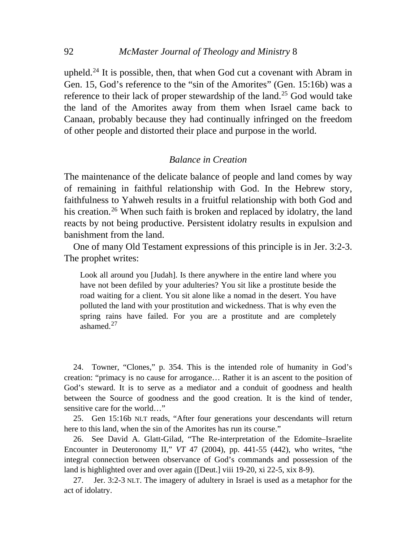upheld.<sup>[24](#page-10-0)</sup> It is possible, then, that when God cut a covenant with Abram in Gen. 15, God's reference to the "sin of the Amorites" (Gen. 15:16b) was a reference to their lack of proper stewardship of the land.<sup>[25](#page-10-1)</sup> God would take the land of the Amorites away from them when Israel came back to Canaan, probably because they had continually infringed on the freedom of other people and distorted their place and purpose in the world.

## *Balance in Creation*

The maintenance of the delicate balance of people and land comes by way of remaining in faithful relationship with God. In the Hebrew story, faithfulness to Yahweh results in a fruitful relationship with both God and his creation.<sup>[26](#page-10-2)</sup> When such faith is broken and replaced by idolatry, the land reacts by not being productive. Persistent idolatry results in expulsion and banishment from the land.

 One of many Old Testament expressions of this principle is in Jer. 3:2-3. The prophet writes:

Look all around you [Judah]. Is there anywhere in the entire land where you have not been defiled by your adulteries? You sit like a prostitute beside the road waiting for a client. You sit alone like a nomad in the desert. You have polluted the land with your prostitution and wickedness. That is why even the spring rains have failed. For you are a prostitute and are completely ashamed. $27$ 

<span id="page-10-0"></span> 24. Towner, "Clones," p. 354. This is the intended role of humanity in God's creation: "primacy is no cause for arrogance… Rather it is an ascent to the position of God's steward. It is to serve as a mediator and a conduit of goodness and health between the Source of goodness and the good creation. It is the kind of tender, sensitive care for the world…"

<span id="page-10-1"></span> 25. Gen 15:16b NLT reads, "After four generations your descendants will return here to this land, when the sin of the Amorites has run its course."

<span id="page-10-2"></span> 26. See David A. Glatt-Gilad, "The Re-interpretation of the Edomite–Israelite Encounter in Deuteronomy II," *VT* 47 (2004), pp. 441-55 (442), who writes, "the integral connection between observance of God's commands and possession of the land is highlighted over and over again ([Deut.] viii 19-20, xi 22-5, xix 8-9).

<span id="page-10-3"></span> 27. Jer. 3:2-3 NLT. The imagery of adultery in Israel is used as a metaphor for the act of idolatry.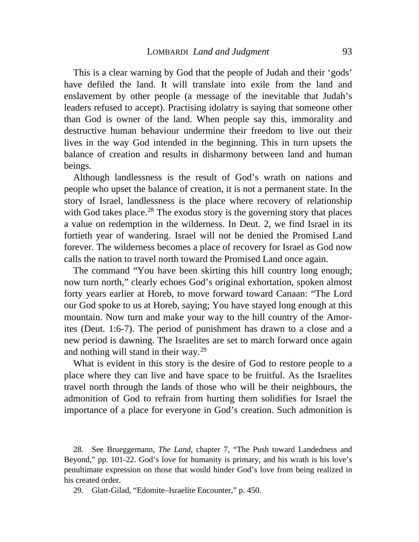This is a clear warning by God that the people of Judah and their 'gods' have defiled the land. It will translate into exile from the land and enslavement by other people (a message of the inevitable that Judah's leaders refused to accept). Practising idolatry is saying that someone other than God is owner of the land. When people say this, immorality and destructive human behaviour undermine their freedom to live out their lives in the way God intended in the beginning. This in turn upsets the balance of creation and results in disharmony between land and human beings.

 Although landlessness is the result of God's wrath on nations and people who upset the balance of creation, it is not a permanent state. In the story of Israel, landlessness is the place where recovery of relationship with God takes place.<sup>[28](#page-11-0)</sup> The exodus story is the governing story that places a value on redemption in the wilderness. In Deut. 2, we find Israel in its fortieth year of wandering. Israel will not be denied the Promised Land forever. The wilderness becomes a place of recovery for Israel as God now calls the nation to travel north toward the Promised Land once again.

 The command "You have been skirting this hill country long enough; now turn north," clearly echoes God's original exhortation, spoken almost forty years earlier at Horeb, to move forward toward Canaan: "The Lord our God spoke to us at Horeb, saying; You have stayed long enough at this mountain. Now turn and make your way to the hill country of the Amorites (Deut. 1:6-7). The period of punishment has drawn to a close and a new period is dawning. The Israelites are set to march forward once again and nothing will stand in their way.<sup>[29](#page-11-1)</sup>

 What is evident in this story is the desire of God to restore people to a place where they can live and have space to be fruitful. As the Israelites travel north through the lands of those who will be their neighbours, the admonition of God to refrain from hurting them solidifies for Israel the importance of a place for everyone in God's creation. Such admonition is

<span id="page-11-0"></span> 28. See Brueggemann, *The Land*, chapter 7, "The Push toward Landedness and Beyond," pp. 101-22. God's love for humanity is primary, and his wrath is his love's penultimate expression on those that would hinder God's love from being realized in his created order.

<span id="page-11-1"></span>29. Glatt-Gilad, "Edomite–Israelite Encounter," p. 450.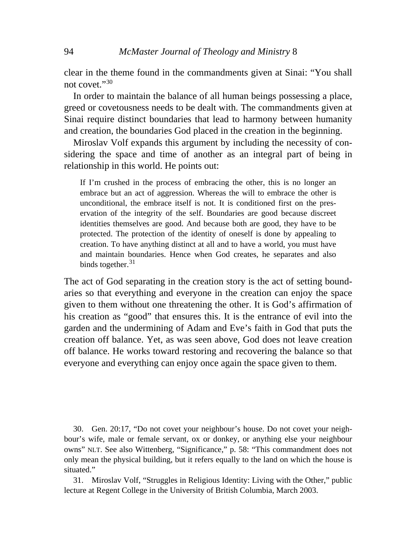clear in the theme found in the commandments given at Sinai: "You shall not covet."[30](#page-12-0)

 In order to maintain the balance of all human beings possessing a place, greed or covetousness needs to be dealt with. The commandments given at Sinai require distinct boundaries that lead to harmony between humanity and creation, the boundaries God placed in the creation in the beginning.

 Miroslav Volf expands this argument by including the necessity of considering the space and time of another as an integral part of being in relationship in this world. He points out:

If I'm crushed in the process of embracing the other, this is no longer an embrace but an act of aggression. Whereas the will to embrace the other is unconditional, the embrace itself is not. It is conditioned first on the preservation of the integrity of the self. Boundaries are good because discreet identities themselves are good. And because both are good, they have to be protected. The protection of the identity of oneself is done by appealing to creation. To have anything distinct at all and to have a world, you must have and maintain boundaries. Hence when God creates, he separates and also binds together. $31$ 

The act of God separating in the creation story is the act of setting boundaries so that everything and everyone in the creation can enjoy the space given to them without one threatening the other. It is God's affirmation of his creation as "good" that ensures this. It is the entrance of evil into the garden and the undermining of Adam and Eve's faith in God that puts the creation off balance. Yet, as was seen above, God does not leave creation off balance. He works toward restoring and recovering the balance so that everyone and everything can enjoy once again the space given to them.

<span id="page-12-0"></span> 30. Gen. 20:17, "Do not covet your neighbour's house. Do not covet your neighbour's wife, male or female servant, ox or donkey, or anything else your neighbour owns" NLT. See also Wittenberg, "Significance," p. 58: "This commandment does not only mean the physical building, but it refers equally to the land on which the house is situated."

<span id="page-12-1"></span> 31. Miroslav Volf, "Struggles in Religious Identity: Living with the Other," public lecture at Regent College in the University of British Columbia, March 2003.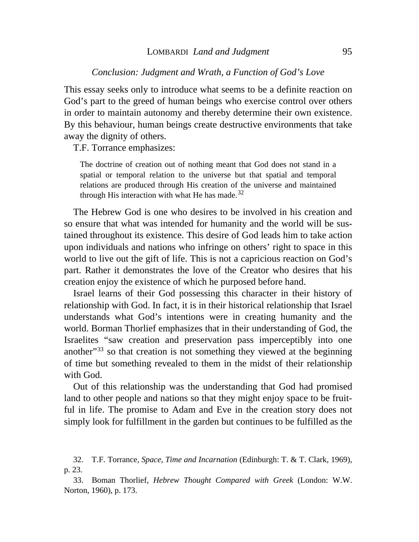## *Conclusion: Judgment and Wrath, a Function of God's Love*

This essay seeks only to introduce what seems to be a definite reaction on God's part to the greed of human beings who exercise control over others in order to maintain autonomy and thereby determine their own existence. By this behaviour, human beings create destructive environments that take away the dignity of others.

T.F. Torrance emphasizes:

The doctrine of creation out of nothing meant that God does not stand in a spatial or temporal relation to the universe but that spatial and temporal relations are produced through His creation of the universe and maintained through His interaction with what He has made. $32$ 

 The Hebrew God is one who desires to be involved in his creation and so ensure that what was intended for humanity and the world will be sustained throughout its existence. This desire of God leads him to take action upon individuals and nations who infringe on others' right to space in this world to live out the gift of life. This is not a capricious reaction on God's part. Rather it demonstrates the love of the Creator who desires that his creation enjoy the existence of which he purposed before hand.

 Israel learns of their God possessing this character in their history of relationship with God. In fact, it is in their historical relationship that Israel understands what God's intentions were in creating humanity and the world. Borman Thorlief emphasizes that in their understanding of God, the Israelites "saw creation and preservation pass imperceptibly into one another"<sup>[33](#page-13-1)</sup> so that creation is not something they viewed at the beginning of time but something revealed to them in the midst of their relationship with God.

 Out of this relationship was the understanding that God had promised land to other people and nations so that they might enjoy space to be fruitful in life. The promise to Adam and Eve in the creation story does not simply look for fulfillment in the garden but continues to be fulfilled as the

<span id="page-13-0"></span> 32. T.F. Torrance, *Space, Time and Incarnation* (Edinburgh: T. & T. Clark, 1969), p. 23.

<span id="page-13-1"></span> 33. Boman Thorlief, *Hebrew Thought Compared with Greek* (London: W.W. Norton, 1960), p. 173.